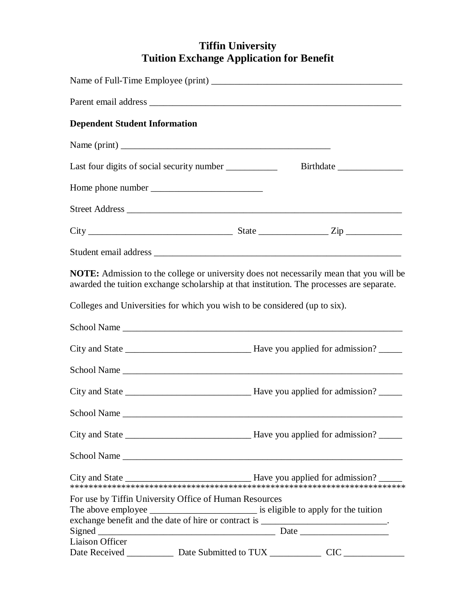## **Tiffin University Tuition Exchange Application for Benefit**

| <b>Dependent Student Information</b>                                                                                                                                                        |           |  |
|---------------------------------------------------------------------------------------------------------------------------------------------------------------------------------------------|-----------|--|
|                                                                                                                                                                                             |           |  |
| Last four digits of social security number ____________                                                                                                                                     | Birthdate |  |
|                                                                                                                                                                                             |           |  |
|                                                                                                                                                                                             |           |  |
|                                                                                                                                                                                             |           |  |
|                                                                                                                                                                                             |           |  |
| <b>NOTE:</b> Admission to the college or university does not necessarily mean that you will be<br>awarded the tuition exchange scholarship at that institution. The processes are separate. |           |  |
| Colleges and Universities for which you wish to be considered (up to six).                                                                                                                  |           |  |
|                                                                                                                                                                                             |           |  |
|                                                                                                                                                                                             |           |  |
|                                                                                                                                                                                             |           |  |
|                                                                                                                                                                                             |           |  |
| School Name                                                                                                                                                                                 |           |  |
|                                                                                                                                                                                             |           |  |
|                                                                                                                                                                                             |           |  |
|                                                                                                                                                                                             |           |  |
| For use by Tiffin University Office of Human Resources                                                                                                                                      |           |  |
| <b>Liaison Officer</b>                                                                                                                                                                      |           |  |
| Date Received _______________ Date Submitted to TUX _______________ CIC _______________                                                                                                     |           |  |